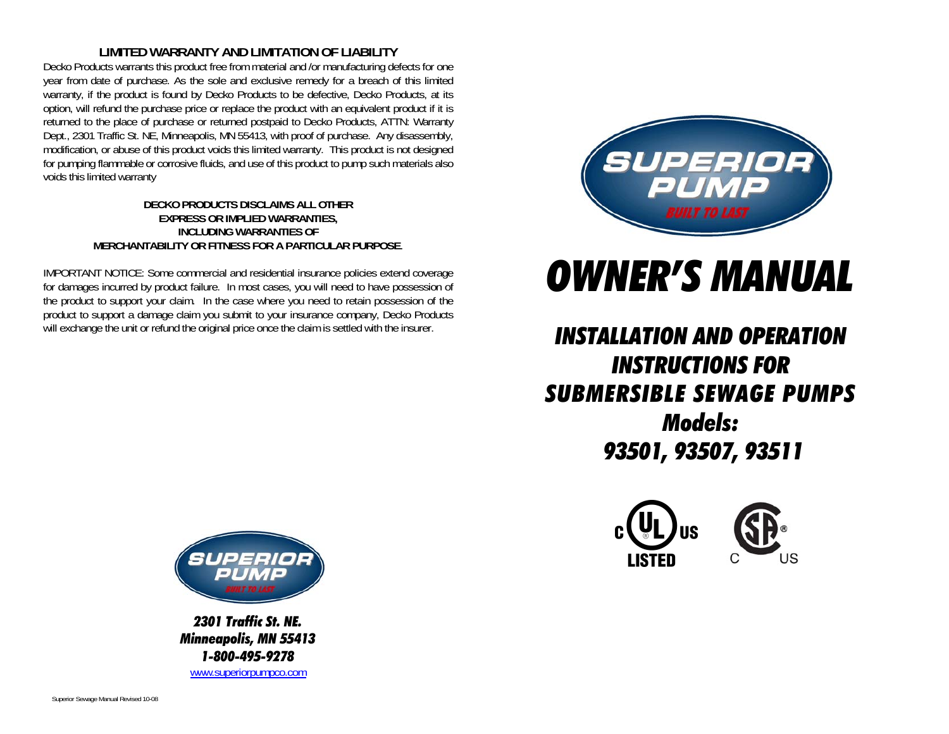# **LIMITED WARRANTY AND LIMITATION OF LIABILITY**

Decko Products warrants this product free from material and /or manufacturing defects for one year from date of purchase. As the sole and exclusive remedy for a breach of this limited warranty, if the product is found by Decko Products to be defective, Decko Products, at its option, will refund the purchase price or replace the product with an equivalent product if it is returned to the place of purchase or returned postpaid to Decko Products, ATTN: Warranty Dept., 2301 Traffic St. NE, Minneapolis, MN 55413, with proof of purchase. Any disassembly, modification, or abuse of this product voids this limited warranty. This product is not designed for pumping flammable or corrosive fluids, and use of this product to pump such materials also voids this limited warranty

#### **DECKO PRODUCTS DISCLAIMS ALL OTHER EXPRESS OR IMPLIED WARRANTIES, INCLUDING WARRANTIES OF MERCHANTABILITY OR FITNESS FOR A PARTICULAR PURPOSE**.

IMPORTANT NOTICE: Some commercial and residential insurance policies extend coverage for damages incurred by product failure. In most cases, you will need to have possession of the product to support your claim. In the case where you need to retain possession of the product to support a damage claim you submit to your insurance company, Decko Products will exchange the unit or refund the original price once the claim is settled with the insurer.



# *OWNER'S MANUAL*

# *INSTALLATION AND OPERATION INSTRUCTIONS FOR SUBMERSIBLE SEWAGE PUMPS Models: 93501, 93507, 93511*





*2301 Traffic St. NE. Minneapolis, MN 55413 1-800-495-9278* www.superiorpumpco.com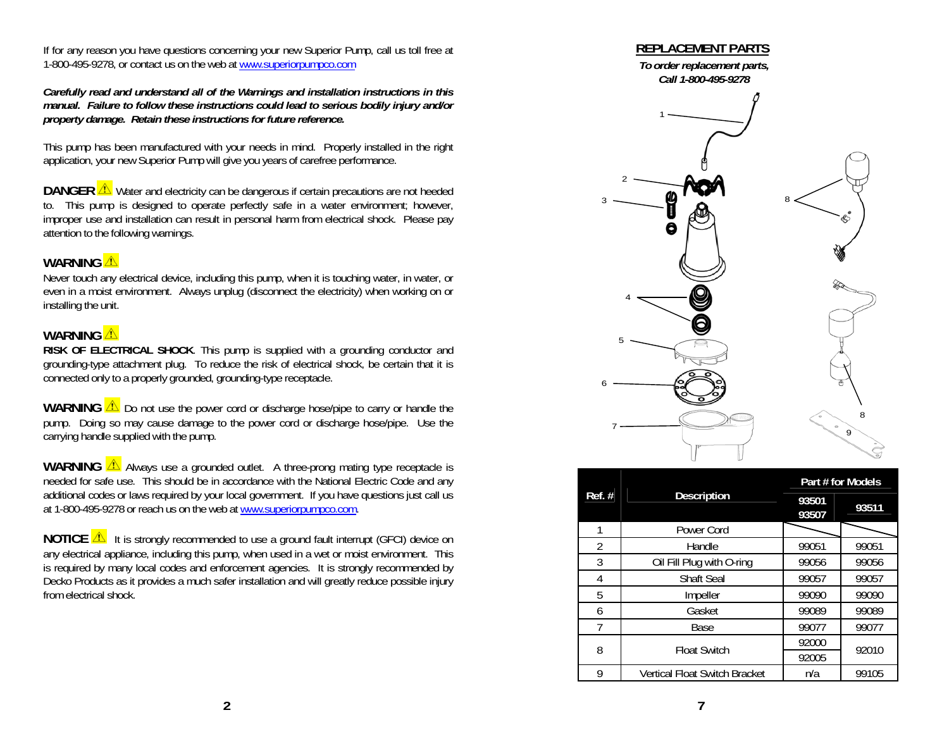If for any reason you have questions concerning your new Superior Pump, call us toll free at 1-800-495-9278, or contact us on the web at www.superiorpumpco.com

*Carefully read and understand all of the Warnings and installation instructions in this manual. Failure to follow these instructions could lead to serious bodily injury and/or property damage. Retain these instructions for future reference.* 

This pump has been manufactured with your needs in mind. Properly installed in the right application, your new Superior Pump will give you years of carefree performance.

**DANGER**  $\triangle$  Water and electricity can be dangerous if certain precautions are not heeded to. This pump is designed to operate perfectly safe in a water environment; however, improper use and installation can result in personal harm from electrical shock. Please pay attention to the following warnings.

# WARNING<sup><sup>1</sup></sup>

Never touch any electrical device, including this pump, when it is touching water, in water, or even in a moist environment. Always unplug (disconnect the electricity) when working on or installing the unit.

### **WARNING**

 **RISK OF ELECTRICAL SHOCK**. This pump is supplied with a grounding conductor and grounding-type attachment plug. To reduce the risk of electrical shock, be certain that it is connected only to a properly grounded, grounding-type receptacle.

**WARNING**  $\triangle$  Do not use the power cord or discharge hose/pipe to carry or handle the pump. Doing so may cause damage to the power cord or discharge hose/pipe. Use the carrying handle supplied with the pump.

**WARNING**  $\sqrt{\Delta}$  Always use a grounded outlet. A three-prong mating type receptacle is needed for safe use. This should be in accordance with the National Electric Code and any additional codes or laws required by your local government. If you have questions just call us at 1-800-495-9278 or reach us on the web at www.superiorpumpco.com.

**NOTICE**  $\triangle$  It is strongly recommended to use a ground fault interrupt (GFCI) device on any electrical appliance, including this pump, when used in a wet or moist environment. This is required by many local codes and enforcement agencies. It is strongly recommended by Decko Products as it provides a much safer installation and will greatly reduce possible injury from electrical shock.



| Ref. #         | <b>Description</b>                   | Part # for Models |       |  |
|----------------|--------------------------------------|-------------------|-------|--|
|                |                                      | 93501<br>93507    | 93511 |  |
| 1              | Power Cord                           |                   |       |  |
| $\mathfrak{D}$ | Handle                               | 99051             | 99051 |  |
| 3              | Oil Fill Plug with O-ring            | 99056             | 99056 |  |
| 4              | <b>Shaft Seal</b>                    | 99057             | 99057 |  |
| 5              | Impeller                             | 99090             | 99090 |  |
| 6              | Gasket                               | 99089             | 99089 |  |
| 7              | Base                                 | 99077             | 99077 |  |
| 8              | <b>Float Switch</b>                  | 92000             | 92010 |  |
|                |                                      | 92005             |       |  |
| 9              | <b>Vertical Float Switch Bracket</b> | n/a               | 99105 |  |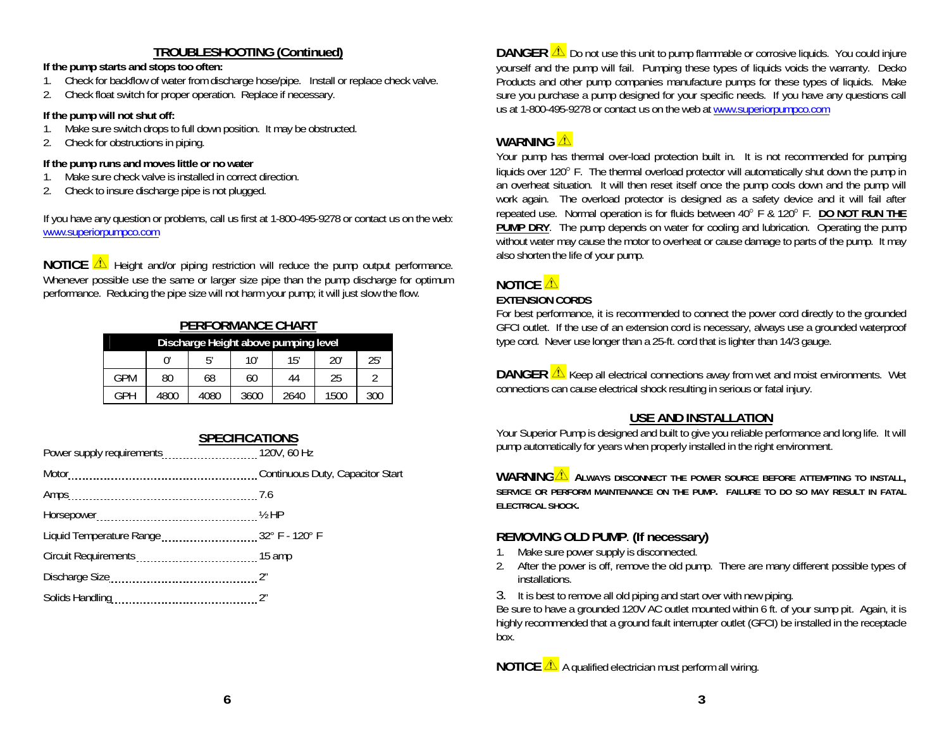# **TROUBLESHOOTING (Continued)**

#### **If the pump starts and stops too often:**

- 1. Check for backflow of water from discharge hose/pipe. Install or replace check valve.
- 2. Check float switch for proper operation. Replace if necessary.

#### **If the pump will not shut off:**

- 1.Make sure switch drops to full down position. It may be obstructed.
- 2. Check for obstructions in piping.

#### **If the pump runs and moves little or no water**

- 1.Make sure check valve is installed in correct direction.
- 2. Check to insure discharge pipe is not plugged.

If you have any question or problems, call us first at 1-800-495-9278 or contact us on the web: www.superiorpumpco.com

**NOTICE**  $\Delta$  Height and/or piping restriction will reduce the pump output performance. Whenever possible use the same or larger size pipe than the pump discharge for optimum performance. Reducing the pipe size will not harm your pump; it will just slow the flow.

# **PERFORMANCE CHART**

| Discharge Height above pumping level |      |      |      |      |      |     |
|--------------------------------------|------|------|------|------|------|-----|
|                                      |      | ҕ,   | 10'  | 15′  | 20'  | 25' |
| GPM                                  | 80   | 68   | 60   | 44   | 25   |     |
| GPH                                  | 4800 | 4080 | 3600 | 2640 | 1500 | 300 |

| <b>SPECIFICATIONS</b>                 |  |  |
|---------------------------------------|--|--|
| Power supply requirements 120V, 60 Hz |  |  |
|                                       |  |  |
| Amps 7.6                              |  |  |
|                                       |  |  |
|                                       |  |  |
|                                       |  |  |
| Discharge Size 27                     |  |  |
|                                       |  |  |
|                                       |  |  |

**DANGER**  $\triangle$  Do not use this unit to pump flammable or corrosive liquids. You could injure yourself and the pump will fail. Pumping these types of liquids voids the warranty. Decko Products and other pump companies manufacture pumps for these types of liquids. Make sure you purchase a pump designed for your specific needs. If you have any questions call us at 1-800-495-9278 or contact us on the web at www.superiorpumpco.com

# **WARNING**

Your pump has thermal over-load protection built in. It is not recommended for pumping liquids over 120° F. The thermal overload protector will automatically shut down the pump in an overheat situation. It will then reset itself once the pump cools down and the pump will work again. The overload protector is designed as a safety device and it will fail after repeated use. Normal operation is for fluids between 40 F & 120 F. **DO NOT RUN THE PUMP DRY.** The pump depends on water for cooling and lubrication. Operating the pump without water may cause the motor to overheat or cause damage to parts of the pump. It may also shorten the life of your pump.

# **NOTICE**

#### **EXTENSION CORDS**

For best performance, it is recommended to connect the power cord directly to the grounded GFCI outlet. If the use of an extension cord is necessary, always use a grounded waterproof type cord. Never use longer than a 25-ft. cord that is lighter than 14/3 gauge.

**DANGER**  $\triangle$  Keep all electrical connections away from wet and moist environments. Wet connections can cause electrical shock resulting in serious or fatal injury.

# **USE AND INSTALLATION**

Your Superior Pump is designed and built to give you reliable performance and long life. It will pump automatically for years when properly installed in the right environment.

**WARNING ALWAYS DISCONNECT THE POWER SOURCE BEFORE ATTEMPTING TO INSTALL, SERVICE OR PERFORM MAINTENANCE ON THE PUMP. FAILURE TO DO SO MAY RESULT IN FATAL ELECTRICAL SHOCK.** 

# **REMOVING OLD PUMP**. **(If necessary)**

- 1. Make sure power supply is disconnected.
- 2. After the power is off, remove the old pump. There are many different possible types of installations.
- 3. It is best to remove all old piping and start over with new piping.

Be sure to have a grounded 120V AC outlet mounted within 6 ft. of your sump pit. Again, it is highly recommended that a ground fault interrupter outlet (GFCI) be installed in the receptacle box.

**NOTICE A** qualified electrician must perform all wiring.